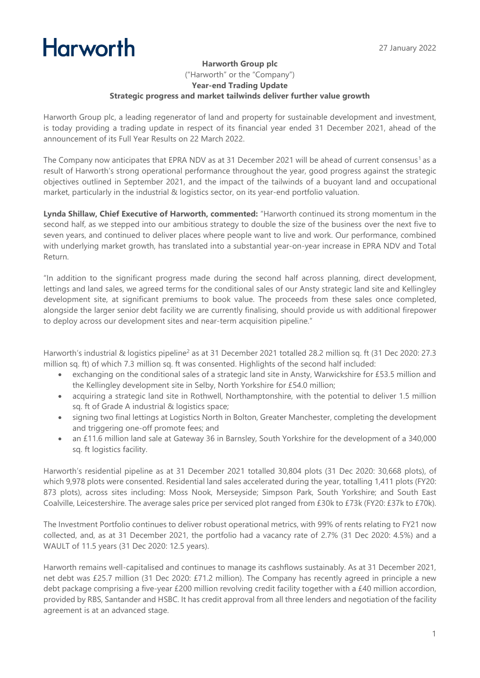## **Harworth**

## **Harworth Group plc** ("Harworth" or the "Company") **Year-end Trading Update Strategic progress and market tailwinds deliver further value growth**

Harworth Group plc, a leading regenerator of land and property for sustainable development and investment, is today providing a trading update in respect of its financial year ended 31 December 2021, ahead of the announcement of its Full Year Results on 22 March 2022.

The Company now anticipates that EPRA NDV as at 31 December 2021 will be ahead of current consensus<sup>1</sup> as a result of Harworth's strong operational performance throughout the year, good progress against the strategic objectives outlined in September 2021, and the impact of the tailwinds of a buoyant land and occupational market, particularly in the industrial & logistics sector, on its year-end portfolio valuation.

**Lynda Shillaw, Chief Executive of Harworth, commented:** "Harworth continued its strong momentum in the second half, as we stepped into our ambitious strategy to double the size of the business over the next five to seven years, and continued to deliver places where people want to live and work. Our performance, combined with underlying market growth, has translated into a substantial year-on-year increase in EPRA NDV and Total Return.

"In addition to the significant progress made during the second half across planning, direct development, lettings and land sales, we agreed terms for the conditional sales of our Ansty strategic land site and Kellingley development site, at significant premiums to book value. The proceeds from these sales once completed, alongside the larger senior debt facility we are currently finalising, should provide us with additional firepower to deploy across our development sites and near-term acquisition pipeline."

Harworth's industrial & logistics pipeline<sup>2</sup> as at 31 December 2021 totalled 28.2 million sq. ft (31 Dec 2020: 27.3 million sq. ft) of which 7.3 million sq. ft was consented. Highlights of the second half included:

- exchanging on the conditional sales of a strategic land site in Ansty, Warwickshire for £53.5 million and the Kellingley development site in Selby, North Yorkshire for £54.0 million;
- acquiring a strategic land site in Rothwell, Northamptonshire, with the potential to deliver 1.5 million sq. ft of Grade A industrial & logistics space;
- signing two final lettings at Logistics North in Bolton, Greater Manchester, completing the development and triggering one-off promote fees; and
- an £11.6 million land sale at Gateway 36 in Barnsley, South Yorkshire for the development of a 340,000 sq. ft logistics facility.

Harworth's residential pipeline as at 31 December 2021 totalled 30,804 plots (31 Dec 2020: 30,668 plots), of which 9,978 plots were consented. Residential land sales accelerated during the year, totalling 1,411 plots (FY20: 873 plots), across sites including: Moss Nook, Merseyside; Simpson Park, South Yorkshire; and South East Coalville, Leicestershire. The average sales price per serviced plot ranged from £30k to £73k (FY20: £37k to £70k).

The Investment Portfolio continues to deliver robust operational metrics, with 99% of rents relating to FY21 now collected, and, as at 31 December 2021, the portfolio had a vacancy rate of 2.7% (31 Dec 2020: 4.5%) and a WAULT of 11.5 years (31 Dec 2020: 12.5 years).

Harworth remains well-capitalised and continues to manage its cashflows sustainably. As at 31 December 2021, net debt was £25.7 million (31 Dec 2020: £71.2 million). The Company has recently agreed in principle a new debt package comprising a five-year £200 million revolving credit facility together with a £40 million accordion, provided by RBS, Santander and HSBC. It has credit approval from all three lenders and negotiation of the facility agreement is at an advanced stage.